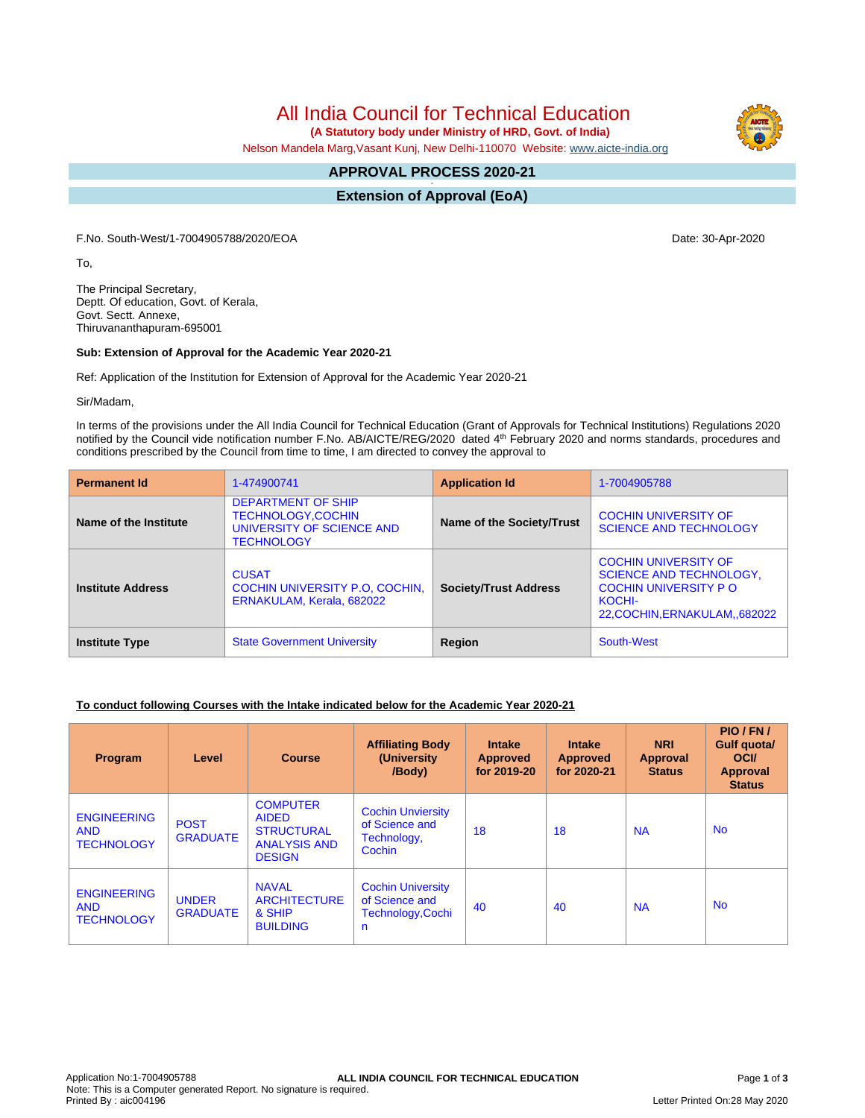All India Council for Technical Education

 **(A Statutory body under Ministry of HRD, Govt. of India)**

Nelson Mandela Marg,Vasant Kunj, New Delhi-110070 Website: [www.aicte-india.org](http://www.aicte-india.org)

#### **APPROVAL PROCESS 2020-21 -**

**Extension of Approval (EoA)**

F.No. South-West/1-7004905788/2020/EOA Date: 30-Apr-2020

To,

The Principal Secretary, Deptt. Of education, Govt. of Kerala, Govt. Sectt. Annexe, Thiruvananthapuram-695001

#### **Sub: Extension of Approval for the Academic Year 2020-21**

Ref: Application of the Institution for Extension of Approval for the Academic Year 2020-21

Sir/Madam,

In terms of the provisions under the All India Council for Technical Education (Grant of Approvals for Technical Institutions) Regulations 2020 notified by the Council vide notification number F.No. AB/AICTE/REG/2020 dated 4<sup>th</sup> February 2020 and norms standards, procedures and conditions prescribed by the Council from time to time, I am directed to convey the approval to

| <b>Permanent Id</b>      | 1-474900741                                                                                             | <b>Application Id</b>        | 1-7004905788                                                                                                                            |  |
|--------------------------|---------------------------------------------------------------------------------------------------------|------------------------------|-----------------------------------------------------------------------------------------------------------------------------------------|--|
| Name of the Institute    | <b>DEPARTMENT OF SHIP</b><br><b>TECHNOLOGY,COCHIN</b><br>UNIVERSITY OF SCIENCE AND<br><b>TECHNOLOGY</b> | Name of the Society/Trust    | <b>COCHIN UNIVERSITY OF</b><br><b>SCIENCE AND TECHNOLOGY</b>                                                                            |  |
| <b>Institute Address</b> | <b>CUSAT</b><br>COCHIN UNIVERSITY P.O. COCHIN.<br>ERNAKULAM, Kerala, 682022                             | <b>Society/Trust Address</b> | <b>COCHIN UNIVERSITY OF</b><br><b>SCIENCE AND TECHNOLOGY,</b><br><b>COCHIN UNIVERSITY PO</b><br>KOCHI-<br>22, COCHIN, ERNAKULAM, 682022 |  |
| <b>Institute Type</b>    | <b>State Government University</b>                                                                      | Region                       | South-West                                                                                                                              |  |

## **To conduct following Courses with the Intake indicated below for the Academic Year 2020-21**

| Program                                               | Level                           | <b>Course</b>                                                                                | <b>Affiliating Body</b><br>(University<br>/Body)                     | <b>Intake</b><br><b>Approved</b><br>for 2019-20 | <b>Intake</b><br><b>Approved</b><br>for 2020-21 | <b>NRI</b><br><b>Approval</b><br><b>Status</b> | PIO/FN/<br>Gulf quota/<br><b>OCI</b><br>Approval<br><b>Status</b> |
|-------------------------------------------------------|---------------------------------|----------------------------------------------------------------------------------------------|----------------------------------------------------------------------|-------------------------------------------------|-------------------------------------------------|------------------------------------------------|-------------------------------------------------------------------|
| <b>ENGINEERING</b><br><b>AND</b><br><b>TECHNOLOGY</b> | <b>POST</b><br><b>GRADUATE</b>  | <b>COMPUTER</b><br><b>AIDED</b><br><b>STRUCTURAL</b><br><b>ANALYSIS AND</b><br><b>DESIGN</b> | <b>Cochin Unviersity</b><br>of Science and<br>Technology,<br>Cochin  | 18                                              | 18                                              | <b>NA</b>                                      | <b>No</b>                                                         |
| <b>ENGINEERING</b><br><b>AND</b><br><b>TECHNOLOGY</b> | <b>UNDER</b><br><b>GRADUATE</b> | <b>NAVAL</b><br><b>ARCHITECTURE</b><br>& SHIP<br><b>BUILDING</b>                             | <b>Cochin University</b><br>of Science and<br>Technology, Cochi<br>n | 40                                              | 40                                              | <b>NA</b>                                      | <b>No</b>                                                         |



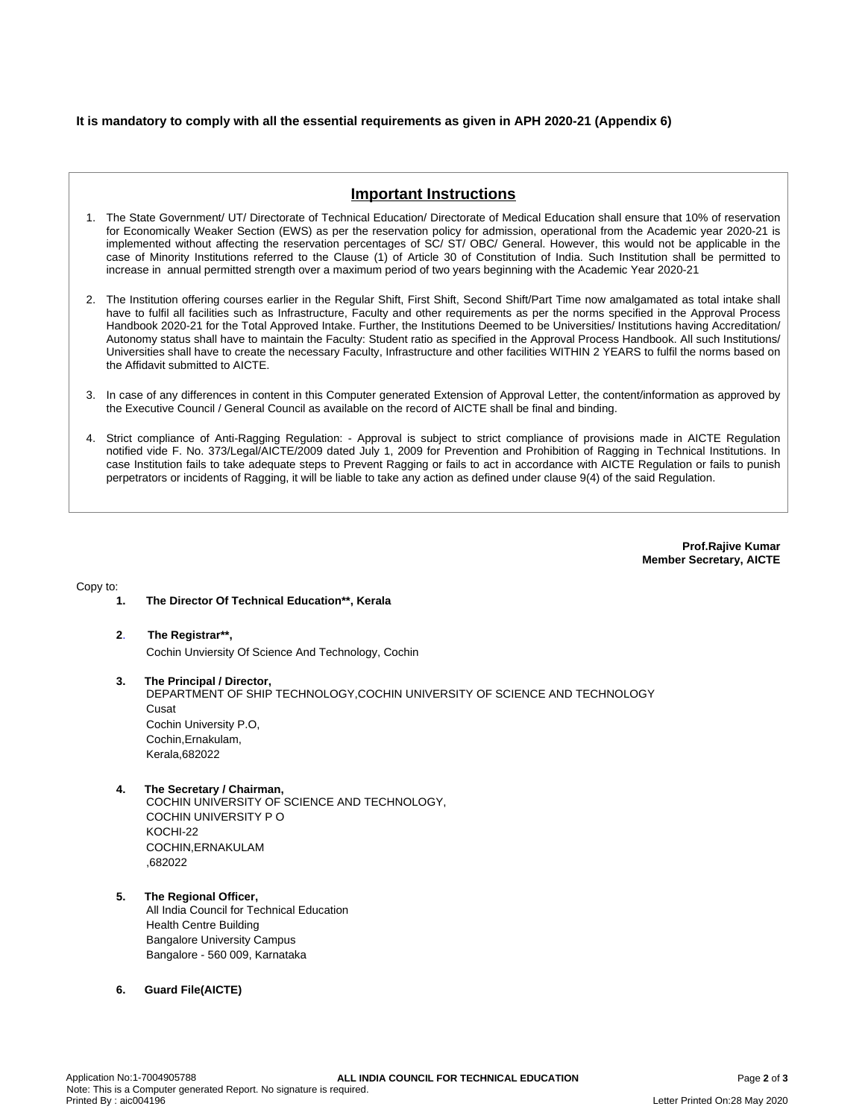## **It is mandatory to comply with all the essential requirements as given in APH 2020-21 (Appendix 6)**

# **Important Instructions**

- 1. The State Government/ UT/ Directorate of Technical Education/ Directorate of Medical Education shall ensure that 10% of reservation for Economically Weaker Section (EWS) as per the reservation policy for admission, operational from the Academic year 2020-21 is implemented without affecting the reservation percentages of SC/ ST/ OBC/ General. However, this would not be applicable in the case of Minority Institutions referred to the Clause (1) of Article 30 of Constitution of India. Such Institution shall be permitted to increase in annual permitted strength over a maximum period of two years beginning with the Academic Year 2020-21
- 2. The Institution offering courses earlier in the Regular Shift, First Shift, Second Shift/Part Time now amalgamated as total intake shall have to fulfil all facilities such as Infrastructure, Faculty and other requirements as per the norms specified in the Approval Process Handbook 2020-21 for the Total Approved Intake. Further, the Institutions Deemed to be Universities/ Institutions having Accreditation/ Autonomy status shall have to maintain the Faculty: Student ratio as specified in the Approval Process Handbook. All such Institutions/ Universities shall have to create the necessary Faculty, Infrastructure and other facilities WITHIN 2 YEARS to fulfil the norms based on the Affidavit submitted to AICTE.
- 3. In case of any differences in content in this Computer generated Extension of Approval Letter, the content/information as approved by the Executive Council / General Council as available on the record of AICTE shall be final and binding.
- 4. Strict compliance of Anti-Ragging Regulation: Approval is subject to strict compliance of provisions made in AICTE Regulation notified vide F. No. 373/Legal/AICTE/2009 dated July 1, 2009 for Prevention and Prohibition of Ragging in Technical Institutions. In case Institution fails to take adequate steps to Prevent Ragging or fails to act in accordance with AICTE Regulation or fails to punish perpetrators or incidents of Ragging, it will be liable to take any action as defined under clause 9(4) of the said Regulation.

**Prof.Rajive Kumar Member Secretary, AICTE**

Copy to:

- **1. The Director Of Technical Education\*\*, Kerala**
- **2**. **The Registrar\*\*,** Cochin Unviersity Of Science And Technology, Cochin
- **3. The Principal / Director,** DEPARTMENT OF SHIP TECHNOLOGY,COCHIN UNIVERSITY OF SCIENCE AND TECHNOLOGY **Cusat** Cochin University P.O, Cochin,Ernakulam, Kerala,682022
- **4. The Secretary / Chairman,**

COCHIN UNIVERSITY OF SCIENCE AND TECHNOLOGY, COCHIN UNIVERSITY P O KOCHI-22 COCHIN,ERNAKULAM ,682022

- **5. The Regional Officer,** All India Council for Technical Education Health Centre Building Bangalore University Campus Bangalore - 560 009, Karnataka
- **6. Guard File(AICTE)**